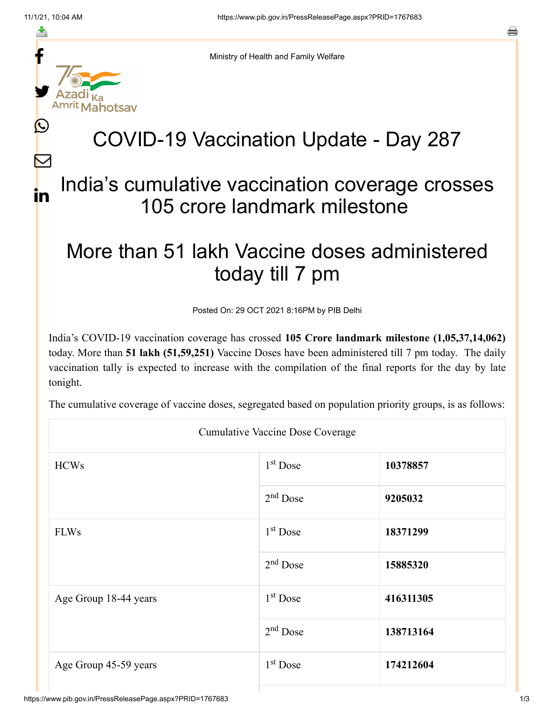f

≛

y.

Ŀ

 $\bm{\nabla}$ 

in



# COVID-19 Vaccination Update - Day 287

### India's cumulative vaccination coverage crosses 105 crore landmark milestone

## More than 51 lakh Vaccine doses administered today till 7 pm

Posted On: 29 OCT 2021 8:16PM by PIB Delhi

India's COVID-19 vaccination coverage has crossed **105 Crore landmark milestone (1,05,37,14,062)** today. More than **51 lakh (51,59,251)** Vaccine Doses have been administered till 7 pm today. The daily vaccination tally is expected to increase with the compilation of the final reports for the day by late tonight.

The cumulative coverage of vaccine doses, segregated based on population priority groups, is as follows:

|                       | <b>Cumulative Vaccine Dose Coverage</b> |           |  |
|-----------------------|-----------------------------------------|-----------|--|
| <b>HCWs</b>           | 1 <sup>st</sup> Dose                    | 10378857  |  |
|                       | $2nd$ Dose                              | 9205032   |  |
| <b>FLWs</b>           | $1st$ Dose                              | 18371299  |  |
|                       | $2nd$ Dose                              | 15885320  |  |
| Age Group 18-44 years | $1st$ Dose                              | 416311305 |  |
|                       | $2nd$ Dose                              | 138713164 |  |
| Age Group 45-59 years | $1st$ Dose                              | 174212604 |  |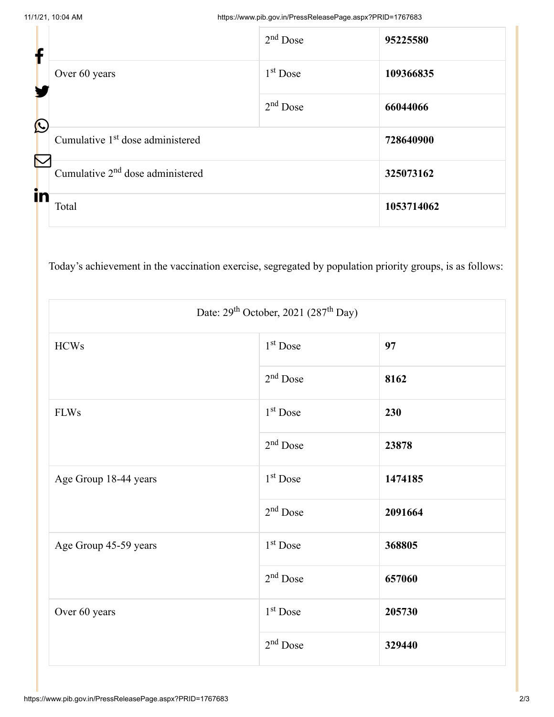| f                     |                                              | $2nd$ Dose | 95225580   |
|-----------------------|----------------------------------------------|------------|------------|
|                       | Over 60 years                                | $1st$ Dose | 109366835  |
| $\bigcirc$            |                                              | $2nd$ Dose | 66044066   |
| $\boldsymbol{\nabla}$ | Cumulative 1 <sup>st</sup> dose administered |            | 728640900  |
|                       | Cumulative 2 <sup>nd</sup> dose administered |            | 325073162  |
| in                    | Total                                        |            | 1053714062 |

Today's achievement in the vaccination exercise, segregated by population priority groups, is as follows:

| Date: $29th$ October, 2021 (287 <sup>th</sup> Day) |                      |         |  |
|----------------------------------------------------|----------------------|---------|--|
| <b>HCWs</b>                                        | 1 <sup>st</sup> Dose | 97      |  |
|                                                    | $2nd$ Dose           | 8162    |  |
| <b>FLWs</b>                                        | 1 <sup>st</sup> Dose | 230     |  |
|                                                    | $2nd$ Dose           | 23878   |  |
| Age Group 18-44 years                              | 1 <sup>st</sup> Dose | 1474185 |  |
|                                                    | $2nd$ Dose           | 2091664 |  |
| Age Group 45-59 years                              | 1 <sup>st</sup> Dose | 368805  |  |
|                                                    | $2nd$ Dose           | 657060  |  |
| Over 60 years                                      | $1st$ Dose           | 205730  |  |
|                                                    | $2nd$ Dose           | 329440  |  |